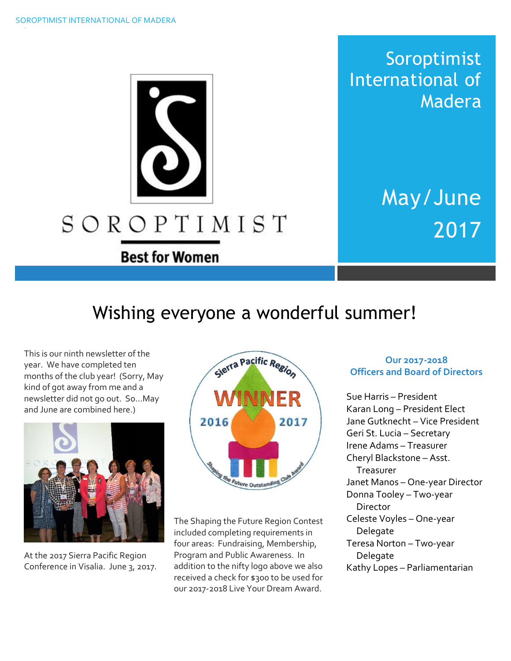Soroptimist International of Madera

> May/June 2017

# Wishing everyone a wonderful summer!

SOROPTIMIST

**Best for Women** 

This is our ninth newsletter of the year. We have completed ten months of the club year! (Sorry, May kind of got away from me and a newsletter did not go out. So…May and June are combined here.)



At the 2017 Sierra Pacific Region Conference in Visalia. June 3, 2017.



The Shaping the Future Region Contest included completing requirements in four areas: Fundraising, Membership, Program and Public Awareness. In addition to the nifty logo above we also received a check for \$300 to be used for our 2017-2018 Live Your Dream Award.

#### **Our 2017-2018 Officers and Board of Directors**

Sue Harris – President Karan Long – President Elect Jane Gutknecht – Vice President Geri St. Lucia – Secretary Irene Adams – Treasurer Cheryl Blackstone – Asst. Treasurer Janet Manos – One-year Director Donna Tooley – Two-year Director Celeste Voyles – One-year Delegate Teresa Norton – Two-year Delegate Kathy Lopes – Parliamentarian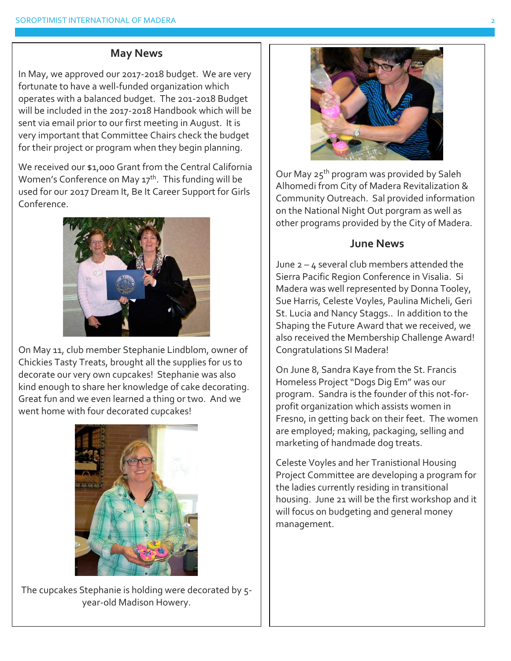#### **May News**

In May, we approved our 2017-2018 budget. We are very fortunate to have a well-funded organization which operates with a balanced budget. The 201-2018 Budget will be included in the 2017-2018 Handbook which will be sent via email prior to our first meeting in August. It is very important that Committee Chairs check the budget for their project or program when they begin planning.

We received our \$1,000 Grant from the Central California Women's Conference on May  $17<sup>th</sup>$ . This funding will be used for our 2017 Dream It, Be It Career Support for Girls Conference.



On May 11, club member Stephanie Lindblom, owner of Chickies Tasty Treats, brought all the supplies for us to decorate our very own cupcakes! Stephanie was also kind enough to share her knowledge of cake decorating. Great fun and we even learned a thing or two. And we went home with four decorated cupcakes!



The cupcakes Stephanie is holding were decorated by 5 year-old Madison Howery.



Our May 25<sup>th</sup> program was provided by Saleh Alhomedi from City of Madera Revitalization & Community Outreach. Sal provided information on the National Night Out porgram as well as other programs provided by the City of Madera.

#### **June News**

June  $2 - 4$  several club members attended the Sierra Pacific Region Conference in Visalia. Si Madera was well represented by Donna Tooley, Sue Harris, Celeste Voyles, Paulina Micheli, Geri St. Lucia and Nancy Staggs.. In addition to the Shaping the Future Award that we received, we also received the Membership Challenge Award! Congratulations SI Madera!

On June 8, Sandra Kaye from the St. Francis Homeless Project "Dogs Dig Em" was our program. Sandra is the founder of this not-forprofit organization which assists women in Fresno, in getting back on their feet. The women are employed; making, packaging, selling and marketing of handmade dog treats.

Celeste Voyles and her Tranistional Housing Project Committee are developing a program for the ladies currently residing in transitional housing. June 21 will be the first workshop and it will focus on budgeting and general money management.